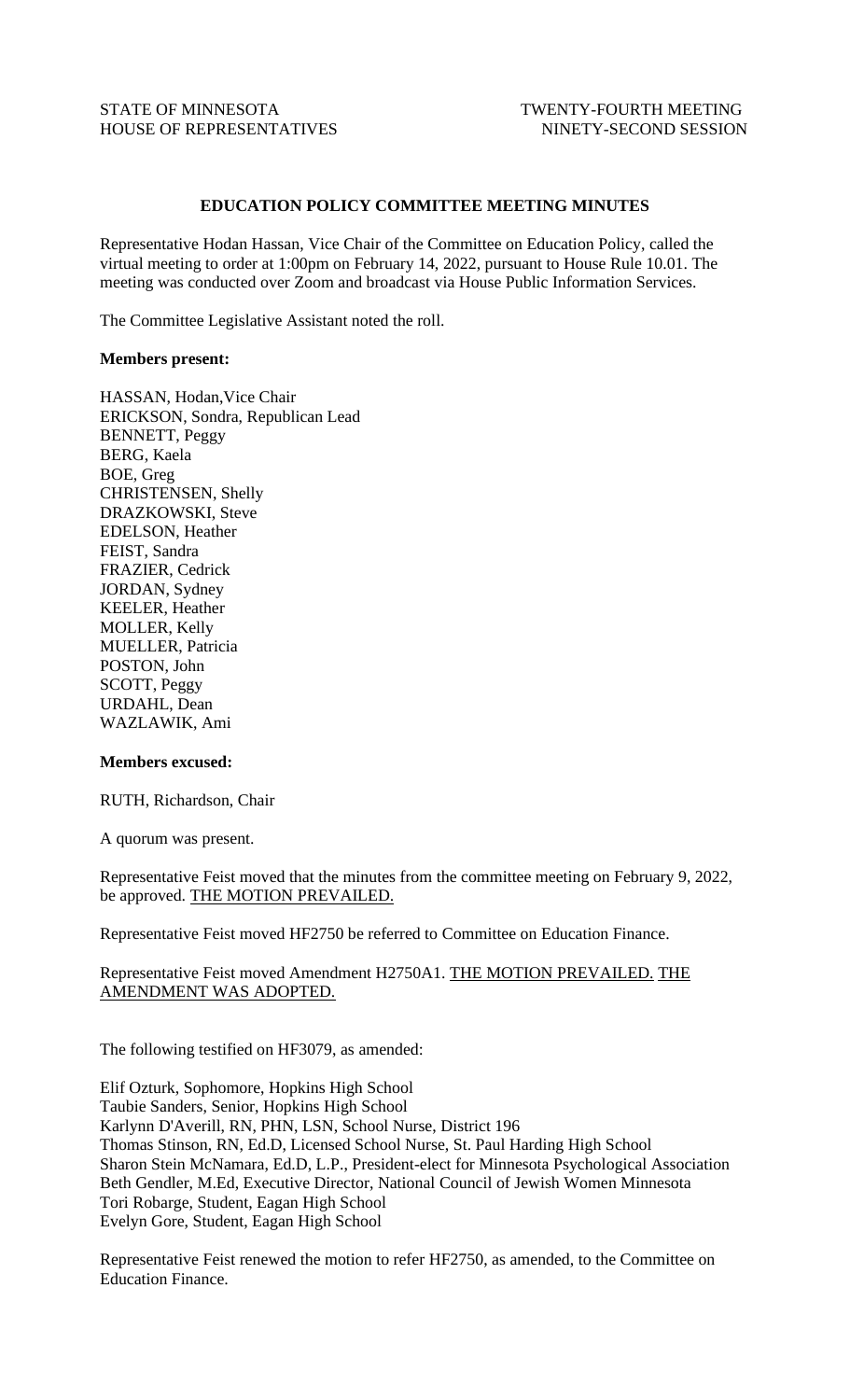# STATE OF MINNESOTA TWENTY-FOURTH MEETING HOUSE OF REPRESENTATIVES NINETY-SECOND SESSION

# **EDUCATION POLICY COMMITTEE MEETING MINUTES**

Representative Hodan Hassan, Vice Chair of the Committee on Education Policy, called the virtual meeting to order at 1:00pm on February 14, 2022, pursuant to House Rule 10.01. The meeting was conducted over Zoom and broadcast via House Public Information Services.

The Committee Legislative Assistant noted the roll.

### **Members present:**

HASSAN, Hodan,Vice Chair ERICKSON, Sondra, Republican Lead BENNETT, Peggy BERG, Kaela BOE, Greg CHRISTENSEN, Shelly DRAZKOWSKI, Steve EDELSON, Heather FEIST, Sandra FRAZIER, Cedrick JORDAN, Sydney KEELER, Heather MOLLER, Kelly MUELLER, Patricia POSTON, John SCOTT, Peggy URDAHL, Dean WAZLAWIK, Ami

#### **Members excused:**

RUTH, Richardson, Chair

A quorum was present.

Representative Feist moved that the minutes from the committee meeting on February 9, 2022, be approved. THE MOTION PREVAILED.

Representative Feist moved HF2750 be referred to Committee on Education Finance.

# Representative Feist moved Amendment H2750A1. THE MOTION PREVAILED. THE AMENDMENT WAS ADOPTED.

The following testified on HF3079, as amended:

Elif Ozturk, Sophomore, Hopkins High School Taubie Sanders, Senior, Hopkins High School Karlynn D'Averill, RN, PHN, LSN, School Nurse, District 196 Thomas Stinson, RN, Ed.D, Licensed School Nurse, St. Paul Harding High School Sharon Stein McNamara, Ed.D, L.P., President-elect for Minnesota Psychological Association Beth Gendler, M.Ed, Executive Director, National Council of Jewish Women Minnesota Tori Robarge, Student, Eagan High School Evelyn Gore, Student, Eagan High School

Representative Feist renewed the motion to refer HF2750, as amended, to the Committee on Education Finance.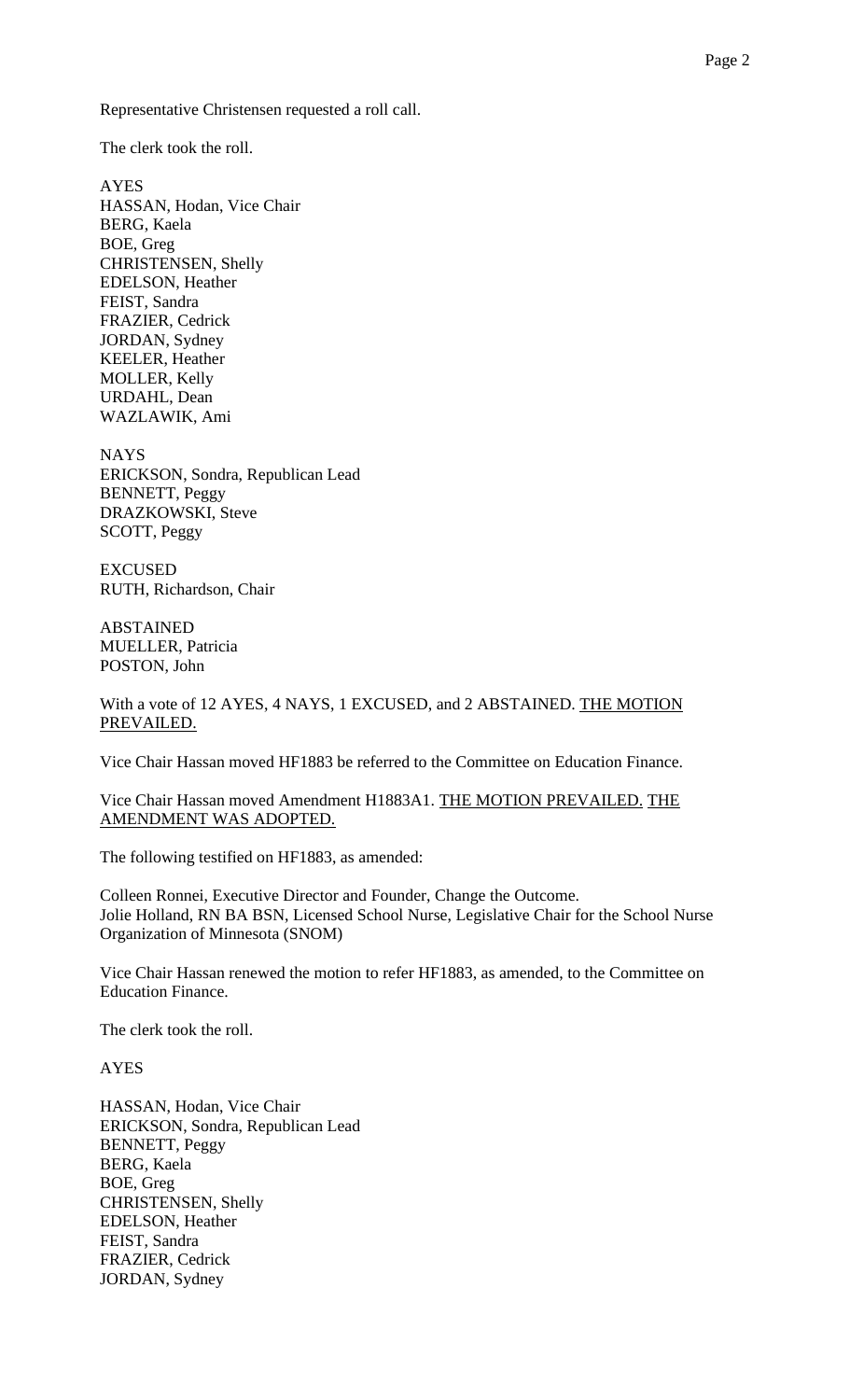Representative Christensen requested a roll call.

The clerk took the roll.

AYES HASSAN, Hodan, Vice Chair BERG, Kaela BOE, Greg CHRISTENSEN, Shelly EDELSON, Heather FEIST, Sandra FRAZIER, Cedrick JORDAN, Sydney KEELER, Heather MOLLER, Kelly URDAHL, Dean WAZLAWIK, Ami

NAYS ERICKSON, Sondra, Republican Lead BENNETT, Peggy DRAZKOWSKI, Steve SCOTT, Peggy

EXCUSED RUTH, Richardson, Chair

ABSTAINED MUELLER, Patricia POSTON, John

With a vote of 12 AYES, 4 NAYS, 1 EXCUSED, and 2 ABSTAINED. THE MOTION PREVAILED.

Vice Chair Hassan moved HF1883 be referred to the Committee on Education Finance.

Vice Chair Hassan moved Amendment H1883A1. THE MOTION PREVAILED. THE AMENDMENT WAS ADOPTED.

The following testified on HF1883, as amended:

Colleen Ronnei, Executive Director and Founder, Change the Outcome. Jolie Holland, RN BA BSN, Licensed School Nurse, Legislative Chair for the School Nurse Organization of Minnesota (SNOM)

Vice Chair Hassan renewed the motion to refer HF1883, as amended, to the Committee on Education Finance.

The clerk took the roll.

AYES

HASSAN, Hodan, Vice Chair ERICKSON, Sondra, Republican Lead BENNETT, Peggy BERG, Kaela BOE, Greg CHRISTENSEN, Shelly EDELSON, Heather FEIST, Sandra FRAZIER, Cedrick JORDAN, Sydney